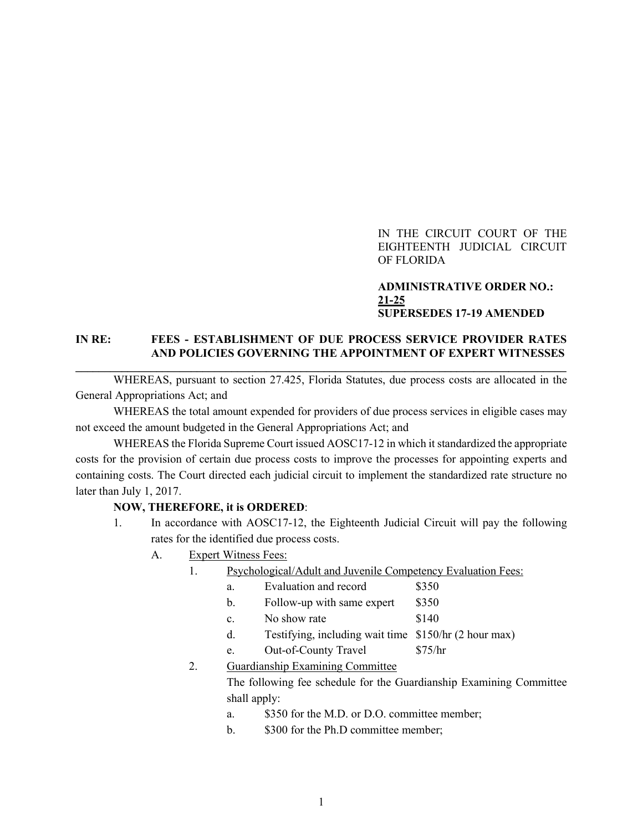## IN THE CIRCUIT COURT OF THE EIGHTEENTH JUDICIAL CIRCUIT OF FLORIDA

## **ADMINISTRATIVE ORDER NO.: 21-25 SUPERSEDES 17-19 AMENDED**

# **IN RE: FEES - ESTABLISHMENT OF DUE PROCESS SERVICE PROVIDER RATES AND POLICIES GOVERNING THE APPOINTMENT OF EXPERT WITNESSES \_\_\_\_\_\_\_\_\_\_\_\_\_\_\_\_\_\_\_\_\_\_\_\_\_\_\_\_\_\_\_\_\_\_\_\_\_\_\_\_\_\_\_\_\_\_\_\_\_\_\_\_\_\_\_\_\_\_\_\_\_\_\_\_\_\_\_\_\_\_\_\_\_\_\_\_\_\_\_\_\_\_\_\_\_**

WHEREAS, pursuant to section 27.425, Florida Statutes, due process costs are allocated in the General Appropriations Act; and

WHEREAS the total amount expended for providers of due process services in eligible cases may not exceed the amount budgeted in the General Appropriations Act; and

WHEREAS the Florida Supreme Court issued AOSC17-12 in which it standardized the appropriate costs for the provision of certain due process costs to improve the processes for appointing experts and containing costs. The Court directed each judicial circuit to implement the standardized rate structure no later than July 1, 2017.

#### **NOW, THEREFORE, it is ORDERED**:

- 1. In accordance with AOSC17-12, the Eighteenth Judicial Circuit will pay the following rates for the identified due process costs.
	- A. Expert Witness Fees:
		- 1. Psychological/Adult and Juvenile Competency Evaluation Fees:
			- a. Evaluation and record \$350
			- b. Follow-up with same expert \$350
			- c. No show rate \$140
			- d. Testifying, including wait time \$150/hr (2 hour max)
			- e. Out-of-County Travel \$75/hr
		- 2. Guardianship Examining Committee

The following fee schedule for the Guardianship Examining Committee shall apply:

- a. \$350 for the M.D. or D.O. committee member;
- b. \$300 for the Ph.D committee member;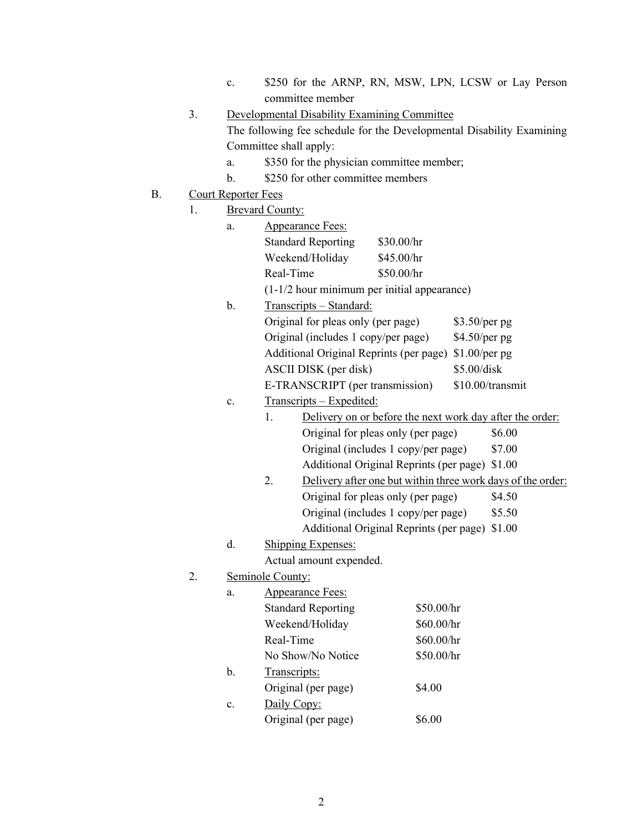- c. \$250 for the ARNP, RN, MSW, LPN, LCSW or Lay Person committee member
- 3. Developmental Disability Examining Committee The following fee schedule for the Developmental Disability Examining Committee shall apply:
	- a. \$350 for the physician committee member;
	- b.  $$250$  for other committee members
- B. Court Reporter Fees
	- 1. Brevard County:

|    | a. | Appearance Fees:                                               |                                                             |                                         |                  |        |  |  |
|----|----|----------------------------------------------------------------|-------------------------------------------------------------|-----------------------------------------|------------------|--------|--|--|
|    |    |                                                                | <b>Standard Reporting</b>                                   | \$30.00/hr                              |                  |        |  |  |
|    |    |                                                                | Weekend/Holiday                                             | \$45.00/hr                              |                  |        |  |  |
|    |    | Real-Time                                                      |                                                             | \$50.00/hr                              |                  |        |  |  |
|    |    | (1-1/2 hour minimum per initial appearance)                    |                                                             |                                         |                  |        |  |  |
|    | b. | Transcripts - Standard:                                        |                                                             |                                         |                  |        |  |  |
|    |    | Original for pleas only (per page)                             |                                                             |                                         | $$3.50/per$ pg   |        |  |  |
|    |    | Original (includes 1 copy/per page)                            |                                                             |                                         | $$4.50/per$ pg   |        |  |  |
|    |    | Additional Original Reprints (per page) \$1.00/per pg          |                                                             |                                         |                  |        |  |  |
|    |    | ASCII DISK (per disk)                                          |                                                             |                                         | \$5.00/disk      |        |  |  |
|    |    |                                                                | E-TRANSCRIPT (per transmission)                             |                                         | \$10.00/transmit |        |  |  |
|    | c. | Transcripts - Expedited:                                       |                                                             |                                         |                  |        |  |  |
|    |    | Delivery on or before the next work day after the order:<br>1. |                                                             |                                         |                  |        |  |  |
|    |    |                                                                |                                                             | Original for pleas only (per page)      |                  | \$6.00 |  |  |
|    |    |                                                                | Original (includes 1 copy/per page)<br>\$7.00               |                                         |                  |        |  |  |
|    |    |                                                                | Additional Original Reprints (per page)<br>\$1.00           |                                         |                  |        |  |  |
|    |    | 2.                                                             | Delivery after one but within three work days of the order: |                                         |                  |        |  |  |
|    |    |                                                                | Original for pleas only (per page)<br>\$4.50                |                                         |                  |        |  |  |
|    |    |                                                                |                                                             | Original (includes 1 copy/per page)     |                  | \$5.50 |  |  |
|    |    |                                                                |                                                             | Additional Original Reprints (per page) |                  | \$1.00 |  |  |
|    | d. | <b>Shipping Expenses:</b>                                      |                                                             |                                         |                  |        |  |  |
|    |    | Actual amount expended.                                        |                                                             |                                         |                  |        |  |  |
| 2. |    | Seminole County:                                               |                                                             |                                         |                  |        |  |  |
|    | a. | <b>Appearance Fees:</b>                                        |                                                             |                                         |                  |        |  |  |
|    |    | \$50.00/hr<br><b>Standard Reporting</b>                        |                                                             |                                         |                  |        |  |  |
|    |    | Weekend/Holiday                                                |                                                             |                                         | \$60.00/hr       |        |  |  |
|    |    | Real-Time                                                      |                                                             | \$60.00/hr                              |                  |        |  |  |
|    |    | No Show/No Notice<br>\$50.00/hr                                |                                                             |                                         |                  |        |  |  |
|    | b. | Transcripts:                                                   |                                                             |                                         |                  |        |  |  |
|    |    | Original (per page)<br>\$4.00                                  |                                                             |                                         |                  |        |  |  |
|    | c. | Daily Copy:                                                    |                                                             |                                         |                  |        |  |  |

Original (per page) \$6.00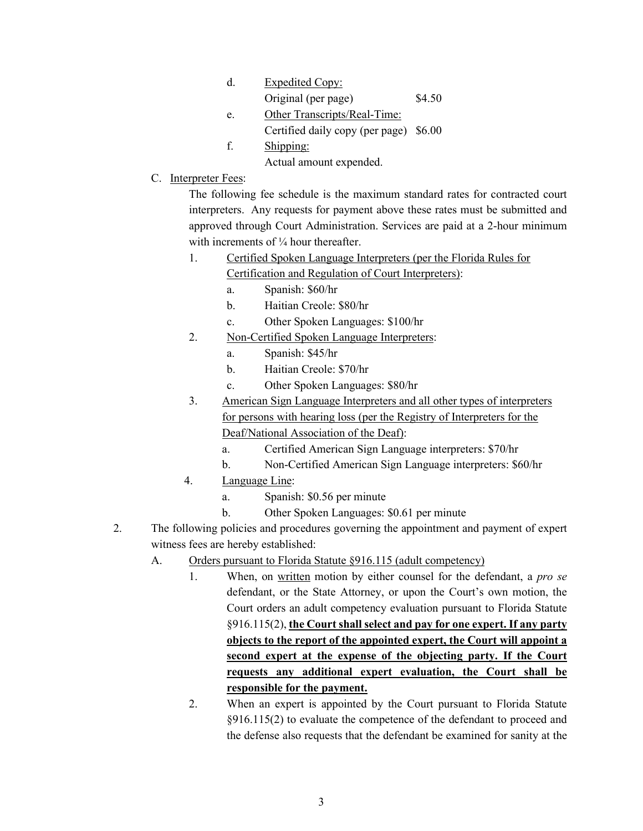| d. | <b>Expedited Copy:</b>       |        |
|----|------------------------------|--------|
|    | Original (per page)          | \$4.50 |
| e. | Other Transcripts/Real-Time: |        |

- Certified daily copy (per page) \$6.00
- f. Shipping:
	- Actual amount expended.
- C. Interpreter Fees:

The following fee schedule is the maximum standard rates for contracted court interpreters. Any requests for payment above these rates must be submitted and approved through Court Administration. Services are paid at a 2-hour minimum with increments of  $\frac{1}{4}$  hour thereafter.

1. Certified Spoken Language Interpreters (per the Florida Rules for

Certification and Regulation of Court Interpreters):

- a. Spanish: \$60/hr
- b. Haitian Creole: \$80/hr
- c. Other Spoken Languages: \$100/hr
- 2. Non-Certified Spoken Language Interpreters:
	- a. Spanish: \$45/hr
	- b. Haitian Creole: \$70/hr
	- c. Other Spoken Languages: \$80/hr
- 3. American Sign Language Interpreters and all other types of interpreters for persons with hearing loss (per the Registry of Interpreters for the Deaf/National Association of the Deaf):
	- a. Certified American Sign Language interpreters: \$70/hr
	- b. Non-Certified American Sign Language interpreters: \$60/hr
- 4. Language Line:
	- a. Spanish: \$0.56 per minute
	- b. Other Spoken Languages: \$0.61 per minute
- 2. The following policies and procedures governing the appointment and payment of expert witness fees are hereby established:
	- A. Orders pursuant to Florida Statute §916.115 (adult competency)
		- 1. When, on written motion by either counsel for the defendant, a *pro se* defendant, or the State Attorney, or upon the Court's own motion, the Court orders an adult competency evaluation pursuant to Florida Statute §916.115(2), **the Court shall select and pay for one expert. If any party objects to the report of the appointed expert, the Court will appoint a second expert at the expense of the objecting party. If the Court requests any additional expert evaluation, the Court shall be responsible for the payment.**
		- 2. When an expert is appointed by the Court pursuant to Florida Statute §916.115(2) to evaluate the competence of the defendant to proceed and the defense also requests that the defendant be examined for sanity at the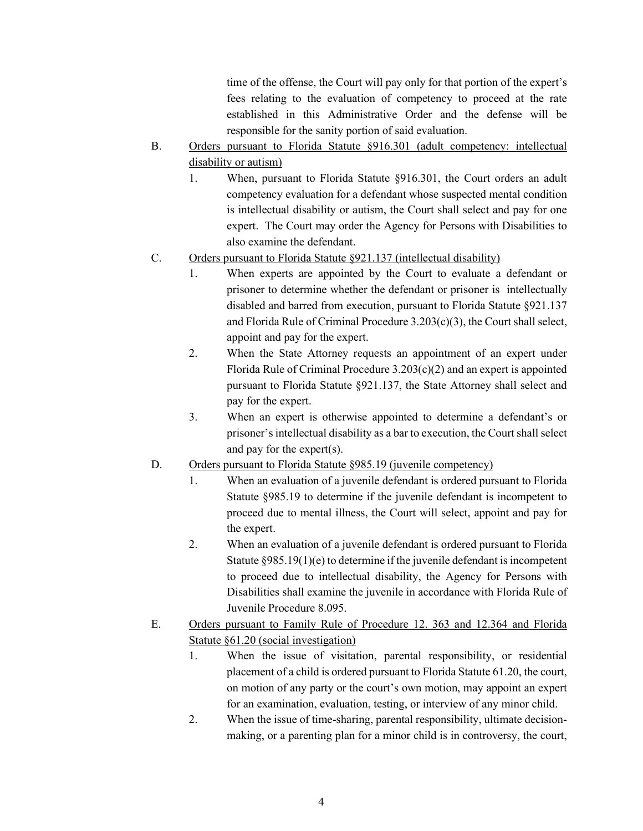time of the offense, the Court will pay only for that portion of the expert's fees relating to the evaluation of competency to proceed at the rate established in this Administrative Order and the defense will be responsible for the sanity portion of said evaluation.

- B. Orders pursuant to Florida Statute §916.301 (adult competency: intellectual disability or autism)
	- 1. When, pursuant to Florida Statute §916.301, the Court orders an adult competency evaluation for a defendant whose suspected mental condition is intellectual disability or autism, the Court shall select and pay for one expert. The Court may order the Agency for Persons with Disabilities to also examine the defendant.
- C. Orders pursuant to Florida Statute §921.137 (intellectual disability)
	- 1. When experts are appointed by the Court to evaluate a defendant or prisoner to determine whether the defendant or prisoner is intellectually disabled and barred from execution, pursuant to Florida Statute §921.137 and Florida Rule of Criminal Procedure 3.203(c)(3), the Court shall select, appoint and pay for the expert.
	- 2. When the State Attorney requests an appointment of an expert under Florida Rule of Criminal Procedure 3.203(c)(2) and an expert is appointed pursuant to Florida Statute §921.137, the State Attorney shall select and pay for the expert.
	- 3. When an expert is otherwise appointed to determine a defendant's or prisoner's intellectual disability as a bar to execution, the Court shall select and pay for the expert(s).
- D. Orders pursuant to Florida Statute §985.19 (juvenile competency)
	- 1. When an evaluation of a juvenile defendant is ordered pursuant to Florida Statute §985.19 to determine if the juvenile defendant is incompetent to proceed due to mental illness, the Court will select, appoint and pay for the expert.
	- 2. When an evaluation of a juvenile defendant is ordered pursuant to Florida Statute §985.19(1)(e) to determine if the juvenile defendant is incompetent to proceed due to intellectual disability, the Agency for Persons with Disabilities shall examine the juvenile in accordance with Florida Rule of Juvenile Procedure 8.095.
- E. Orders pursuant to Family Rule of Procedure 12. 363 and 12.364 and Florida Statute §61.20 (social investigation)
	- 1. When the issue of visitation, parental responsibility, or residential placement of a child is ordered pursuant to Florida Statute 61.20, the court, on motion of any party or the court's own motion, may appoint an expert for an examination, evaluation, testing, or interview of any minor child.
	- 2. When the issue of time-sharing, parental responsibility, ultimate decisionmaking, or a parenting plan for a minor child is in controversy, the court,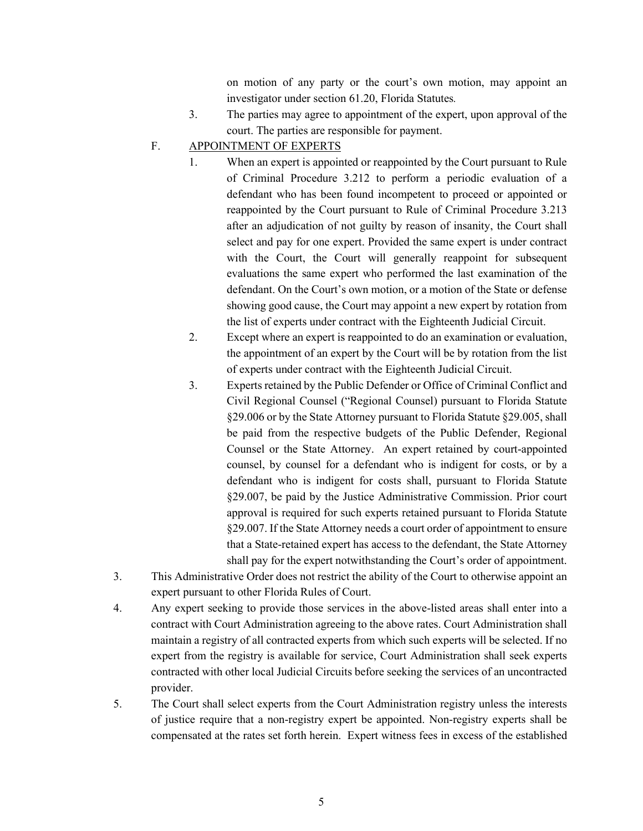on motion of any party or the court's own motion, may appoint an investigator under section 61.20, Florida Statutes*.*

- 3. The parties may agree to appointment of the expert, upon approval of the court. The parties are responsible for payment.
- F. APPOINTMENT OF EXPERTS
	- 1. When an expert is appointed or reappointed by the Court pursuant to Rule of Criminal Procedure 3.212 to perform a periodic evaluation of a defendant who has been found incompetent to proceed or appointed or reappointed by the Court pursuant to Rule of Criminal Procedure 3.213 after an adjudication of not guilty by reason of insanity, the Court shall select and pay for one expert. Provided the same expert is under contract with the Court, the Court will generally reappoint for subsequent evaluations the same expert who performed the last examination of the defendant. On the Court's own motion, or a motion of the State or defense showing good cause, the Court may appoint a new expert by rotation from the list of experts under contract with the Eighteenth Judicial Circuit.
	- 2. Except where an expert is reappointed to do an examination or evaluation, the appointment of an expert by the Court will be by rotation from the list of experts under contract with the Eighteenth Judicial Circuit.
	- 3. Experts retained by the Public Defender or Office of Criminal Conflict and Civil Regional Counsel ("Regional Counsel) pursuant to Florida Statute §29.006 or by the State Attorney pursuant to Florida Statute §29.005, shall be paid from the respective budgets of the Public Defender, Regional Counsel or the State Attorney. An expert retained by court-appointed counsel, by counsel for a defendant who is indigent for costs, or by a defendant who is indigent for costs shall, pursuant to Florida Statute §29.007, be paid by the Justice Administrative Commission. Prior court approval is required for such experts retained pursuant to Florida Statute §29.007. If the State Attorney needs a court order of appointment to ensure that a State-retained expert has access to the defendant, the State Attorney shall pay for the expert notwithstanding the Court's order of appointment.
- 3. This Administrative Order does not restrict the ability of the Court to otherwise appoint an expert pursuant to other Florida Rules of Court.
- 4. Any expert seeking to provide those services in the above-listed areas shall enter into a contract with Court Administration agreeing to the above rates. Court Administration shall maintain a registry of all contracted experts from which such experts will be selected. If no expert from the registry is available for service, Court Administration shall seek experts contracted with other local Judicial Circuits before seeking the services of an uncontracted provider.
- 5. The Court shall select experts from the Court Administration registry unless the interests of justice require that a non-registry expert be appointed. Non-registry experts shall be compensated at the rates set forth herein. Expert witness fees in excess of the established